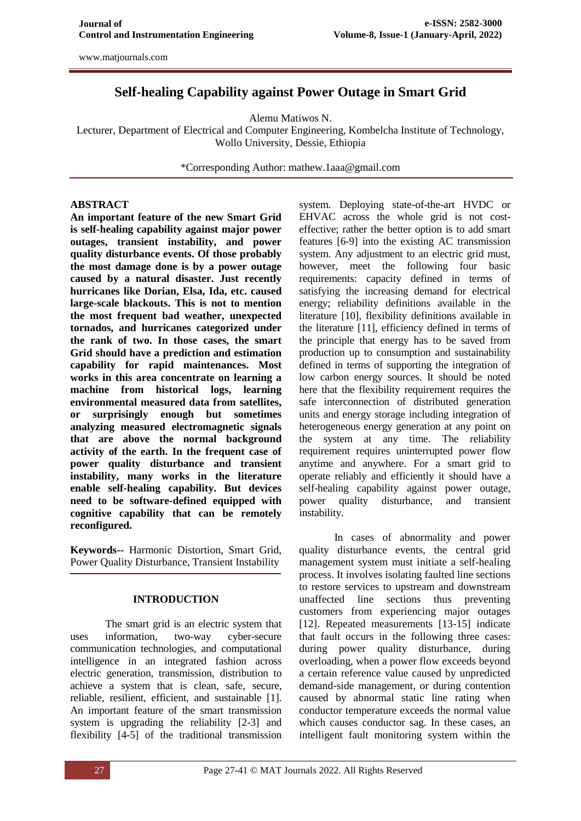# **Self-healing Capability against Power Outage in Smart Grid**

Alemu Matiwos N.

Lecturer, Department of Electrical and Computer Engineering, Kombelcha Institute of Technology, Wollo University, Dessie, Ethiopia

\*Corresponding Author: mathew.1aaa@gmail.com

## **ABSTRACT**

**An important feature of the new Smart Grid is self-healing capability against major power outages, transient instability, and power quality disturbance events. Of those probably the most damage done is by a power outage caused by a natural disaster. Just recently hurricanes like Dorian, Elsa, Ida, etc. caused large-scale blackouts. This is not to mention the most frequent bad weather, unexpected tornados, and hurricanes categorized under the rank of two. In those cases, the smart Grid should have a prediction and estimation capability for rapid maintenances. Most works in this area concentrate on learning a machine from historical logs, learning environmental measured data from satellites, or surprisingly enough but sometimes analyzing measured electromagnetic signals that are above the normal background activity of the earth. In the frequent case of power quality disturbance and transient instability, many works in the literature enable self-healing capability. But devices need to be software-defined equipped with cognitive capability that can be remotely reconfigured.**

**Keywords--** Harmonic Distortion, Smart Grid, Power Quality Disturbance, Transient Instability

## **INTRODUCTION**

The smart grid is an electric system that uses information, two-way cyber-secure communication technologies, and computational intelligence in an integrated fashion across electric generation, transmission, distribution to achieve a system that is clean, safe, secure, reliable, resilient, efficient, and sustainable [1]. An important feature of the smart transmission system is upgrading the reliability [2-3] and flexibility [4-5] of the traditional transmission

system. Deploying state-of-the-art HVDC or EHVAC across the whole grid is not costeffective; rather the better option is to add smart features [6-9] into the existing AC transmission system. Any adjustment to an electric grid must, however, meet the following four basic requirements: capacity defined in terms of satisfying the increasing demand for electrical energy; reliability definitions available in the literature [10], flexibility definitions available in the literature [11], efficiency defined in terms of the principle that energy has to be saved from production up to consumption and sustainability defined in terms of supporting the integration of low carbon energy sources. It should be noted here that the flexibility requirement requires the safe interconnection of distributed generation units and energy storage including integration of heterogeneous energy generation at any point on the system at any time. The reliability requirement requires uninterrupted power flow anytime and anywhere. For a smart grid to operate reliably and efficiently it should have a self-healing capability against power outage, power quality disturbance, and transient instability.

In cases of abnormality and power quality disturbance events, the central grid management system must initiate a self-healing process. It involves isolating faulted line sections to restore services to upstream and downstream unaffected line sections thus preventing customers from experiencing major outages [12]. Repeated measurements [13-15] indicate that fault occurs in the following three cases: during power quality disturbance, during overloading, when a power flow exceeds beyond a certain reference value caused by unpredicted demand-side management, or during contention caused by abnormal static line rating when conductor temperature exceeds the normal value which causes conductor sag. In these cases, an intelligent fault monitoring system within the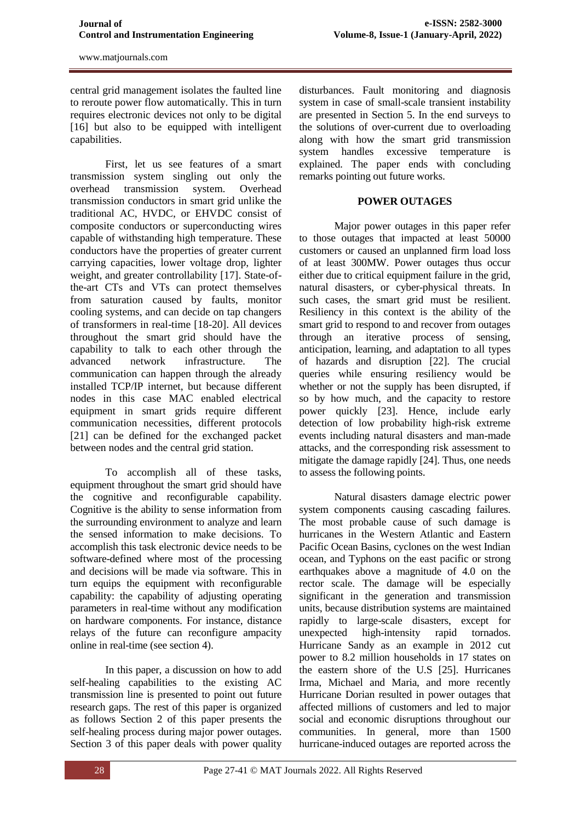central grid management isolates the faulted line to reroute power flow automatically. This in turn requires electronic devices not only to be digital [16] but also to be equipped with intelligent capabilities.

First, let us see features of a smart transmission system singling out only the overhead transmission system. Overhead transmission conductors in smart grid unlike the traditional AC, HVDC, or EHVDC consist of composite conductors or superconducting wires capable of withstanding high temperature. These conductors have the properties of greater current carrying capacities, lower voltage drop, lighter weight, and greater controllability [17]. State-ofthe-art CTs and VTs can protect themselves from saturation caused by faults, monitor cooling systems, and can decide on tap changers of transformers in real-time [18-20]. All devices throughout the smart grid should have the capability to talk to each other through the advanced network infrastructure. The communication can happen through the already installed TCP/IP internet, but because different nodes in this case MAC enabled electrical equipment in smart grids require different communication necessities, different protocols [21] can be defined for the exchanged packet between nodes and the central grid station.

To accomplish all of these tasks, equipment throughout the smart grid should have the cognitive and reconfigurable capability. Cognitive is the ability to sense information from the surrounding environment to analyze and learn the sensed information to make decisions. To accomplish this task electronic device needs to be software-defined where most of the processing and decisions will be made via software. This in turn equips the equipment with reconfigurable capability: the capability of adjusting operating parameters in real-time without any modification on hardware components. For instance, distance relays of the future can reconfigure ampacity online in real-time (see section 4).

In this paper, a discussion on how to add self-healing capabilities to the existing AC transmission line is presented to point out future research gaps. The rest of this paper is organized as follows Section 2 of this paper presents the self-healing process during major power outages. Section 3 of this paper deals with power quality

disturbances. Fault monitoring and diagnosis system in case of small-scale transient instability are presented in Section 5. In the end surveys to the solutions of over-current due to overloading along with how the smart grid transmission system handles excessive temperature is explained. The paper ends with concluding remarks pointing out future works.

## **POWER OUTAGES**

Major power outages in this paper refer to those outages that impacted at least 50000 customers or caused an unplanned firm load loss of at least 300MW. Power outages thus occur either due to critical equipment failure in the grid, natural disasters, or cyber-physical threats. In such cases, the smart grid must be resilient. Resiliency in this context is the ability of the smart grid to respond to and recover from outages through an iterative process of sensing, anticipation, learning, and adaptation to all types of hazards and disruption [22]. The crucial queries while ensuring resiliency would be whether or not the supply has been disrupted, if so by how much, and the capacity to restore power quickly [23]. Hence, include early detection of low probability high-risk extreme events including natural disasters and man-made attacks, and the corresponding risk assessment to mitigate the damage rapidly [24]. Thus, one needs to assess the following points.

Natural disasters damage electric power system components causing cascading failures. The most probable cause of such damage is hurricanes in the Western Atlantic and Eastern Pacific Ocean Basins, cyclones on the west Indian ocean, and Typhons on the east pacific or strong earthquakes above a magnitude of 4.0 on the rector scale. The damage will be especially significant in the generation and transmission units, because distribution systems are maintained rapidly to large-scale disasters, except for unexpected high-intensity rapid tornados. Hurricane Sandy as an example in 2012 [cut](http://nation.time.com/2012/10/29/hurricane-sandy-bears-down-on-east-coast/)  [power to 8.2 million households](http://nation.time.com/2012/10/29/hurricane-sandy-bears-down-on-east-coast/) in 17 states on the eastern shore of the U.S [25]. Hurricanes Irma, Michael and Maria, and more recently Hurricane Dorian resulted in power outages that affected millions of customers and led to major social and economic disruptions throughout our communities. In general, more than 1500 hurricane-induced outages are reported across the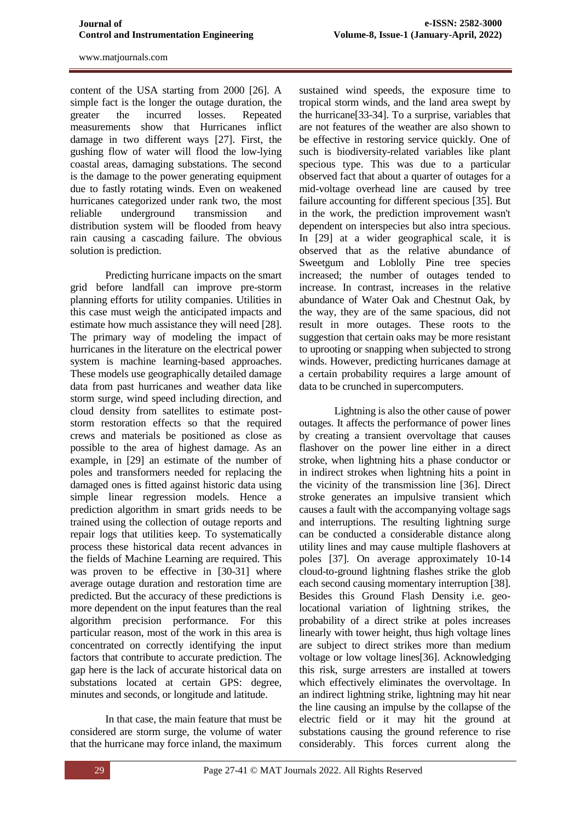content of the USA starting from 2000 [26]. A simple fact is the longer the outage duration, the greater the incurred losses. Repeated measurements show that Hurricanes inflict damage in two different ways [27]. First, the gushing flow of water will flood the low-lying coastal areas, damaging substations. The second is the damage to the power generating equipment due to fastly rotating winds. Even on weakened hurricanes categorized under rank two, the most reliable underground transmission and distribution system will be flooded from heavy rain causing a cascading failure. The obvious solution is prediction.

Predicting hurricane impacts on the smart grid before landfall can improve pre-storm planning efforts for utility companies. Utilities in this case must weigh the anticipated impacts and estimate how much assistance they will need [28]. The primary way of modeling the impact of hurricanes in the literature on the electrical power system is machine learning-based approaches. These models use geographically detailed damage data from past hurricanes and weather data like storm surge, wind speed including direction, and cloud density from satellites to estimate poststorm restoration effects so that the required crews and materials be positioned as close as possible to the area of highest damage. As an example, in [29] an estimate of the number of poles and transformers needed for replacing the damaged ones is fitted against historic data using simple linear regression models. Hence a prediction algorithm in smart grids needs to be trained using the collection of outage reports and repair logs that utilities keep. To systematically process these historical data recent advances in the fields of Machine Learning are required. This was proven to be effective in [30-31] where average outage duration and restoration time are predicted. But the accuracy of these predictions is more dependent on the input features than the real algorithm precision performance. For this particular reason, most of the work in this area is concentrated on correctly identifying the input factors that contribute to accurate prediction. The gap here is the lack of accurate historical data on substations located at certain GPS: degree, minutes and seconds, or longitude and latitude.

In that case, the main feature that must be considered are storm surge, the volume of water that the hurricane may force inland, the maximum

sustained wind speeds, the exposure time to tropical storm winds, and the land area swept by the hurricane[33-34]. To a surprise, variables that are not features of the weather are also shown to be effective in restoring service quickly. One of such is biodiversity-related variables like plant specious type. This was due to a particular observed fact that about a quarter of outages for a mid-voltage overhead line are caused by tree failure accounting for different specious [35]. But in the work, the prediction improvement wasn't dependent on interspecies but also intra specious. In [29] at a wider geographical scale, it is observed that as the relative abundance of Sweetgum and Loblolly Pine tree species increased; the number of outages tended to increase. In contrast, increases in the relative abundance of Water Oak and Chestnut Oak, by the way, they are of the same spacious, did not result in more outages. These roots to the suggestion that certain oaks may be more resistant to uprooting or snapping when subjected to strong winds. However, predicting hurricanes damage at a certain probability requires a large amount of data to be crunched in supercomputers.

Lightning is also the other cause of power outages. It affects the performance of power lines by creating a transient overvoltage that causes flashover on the power line either in a direct stroke, when lightning hits a phase conductor or in indirect strokes when lightning hits a point in the vicinity of the transmission line [36]. Direct stroke generates an impulsive transient which causes a fault with the accompanying voltage sags and interruptions. The resulting lightning surge can be conducted a considerable distance along utility lines and may cause multiple flashovers at poles [37]. On average approximately 10-14 cloud-to-ground lightning flashes strike the glob each second causing momentary interruption [38]. Besides this Ground Flash Density i.e. geolocational variation of lightning strikes, the probability of a direct strike at poles increases linearly with tower height, thus high voltage lines are subject to direct strikes more than medium voltage or low voltage lines[36]. Acknowledging this risk, surge arresters are installed at towers which effectively eliminates the overvoltage. In an indirect lightning strike, lightning may hit near the line causing an impulse by the collapse of the electric field or it may hit the ground at substations causing the ground reference to rise considerably. This forces current along the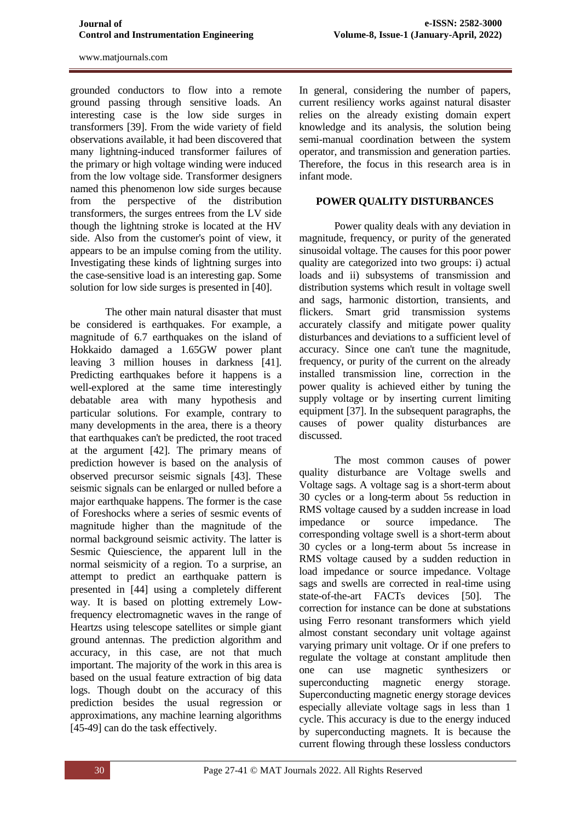grounded conductors to flow into a remote ground passing through sensitive loads. An interesting case is the low side surges in transformers [39]. From the wide variety of field observations available, it had been discovered that many lightning-induced transformer failures of the primary or high voltage winding were induced from the low voltage side. Transformer designers named this phenomenon low side surges because from the perspective of the distribution transformers, the surges entrees from the LV side though the lightning stroke is located at the HV side. Also from the customer's point of view, it appears to be an impulse coming from the utility. Investigating these kinds of lightning surges into the case-sensitive load is an interesting gap. Some solution for low side surges is presented in [40].

The other main natural disaster that must be considered is earthquakes. For example, a magnitude of 6.7 earthquakes on the island of Hokkaido damaged a 1.65GW power plant leaving 3 million houses in darkness [41]. Predicting earthquakes before it happens is a well-explored at the same time interestingly debatable area with many hypothesis and particular solutions. For example, contrary to many developments in the area, there is a theory that earthquakes can't be predicted, the root traced at the argument [42]. The primary means of prediction however is based on the analysis of observed precursor seismic signals [43]. These seismic signals can be enlarged or nulled before a major earthquake happens. The former is the case of Foreshocks where a series of sesmic events of magnitude higher than the magnitude of the normal background seismic activity. The latter is Sesmic Quiescience, the apparent lull in the normal seismicity of a region. To a surprise, an attempt to predict an earthquake pattern is presented in [44] using a completely different way. It is based on plotting extremely Lowfrequency electromagnetic waves in the range of Heartzs using telescope satellites or simple giant ground antennas. The prediction algorithm and accuracy, in this case, are not that much important. The majority of the work in this area is based on the usual feature extraction of big data logs. Though doubt on the accuracy of this prediction besides the usual regression or approximations, any machine learning algorithms [45-49] can do the task effectively.

In general, considering the number of papers, current resiliency works against natural disaster relies on the already existing domain expert knowledge and its analysis, the solution being semi-manual coordination between the system operator, and transmission and generation parties. Therefore, the focus in this research area is in infant mode.

## **POWER QUALITY DISTURBANCES**

Power quality deals with any deviation in magnitude, frequency, or purity of the generated sinusoidal voltage. The causes for this poor power quality are categorized into two groups: i) actual loads and ii) subsystems of transmission and distribution systems which result in voltage swell and sags, harmonic distortion, transients, and flickers. Smart grid transmission systems accurately classify and mitigate power quality disturbances and deviations to a sufficient level of accuracy. Since one can't tune the magnitude, frequency, or purity of the current on the already installed transmission line, correction in the power quality is achieved either by tuning the supply voltage or by inserting current limiting equipment [37]. In the subsequent paragraphs, the causes of power quality disturbances are discussed.

The most common causes of power quality disturbance are Voltage swells and Voltage sags. A voltage sag is a short-term about 30 cycles or a long-term about 5s reduction in RMS voltage caused by a sudden increase in load impedance or source impedance. The corresponding voltage swell is a short-term about 30 cycles or a long-term about 5s increase in RMS voltage caused by a sudden reduction in load impedance or source impedance. Voltage sags and swells are corrected in real-time using state-of-the-art FACTs devices [50]. The correction for instance can be done at substations using Ferro resonant transformers which yield almost constant secondary unit voltage against varying primary unit voltage. Or if one prefers to regulate the voltage at constant amplitude then one can use magnetic synthesizers or superconducting magnetic energy storage. Superconducting magnetic energy storage devices especially alleviate voltage sags in less than 1 cycle. This accuracy is due to the energy induced by superconducting magnets. It is because the current flowing through these lossless conductors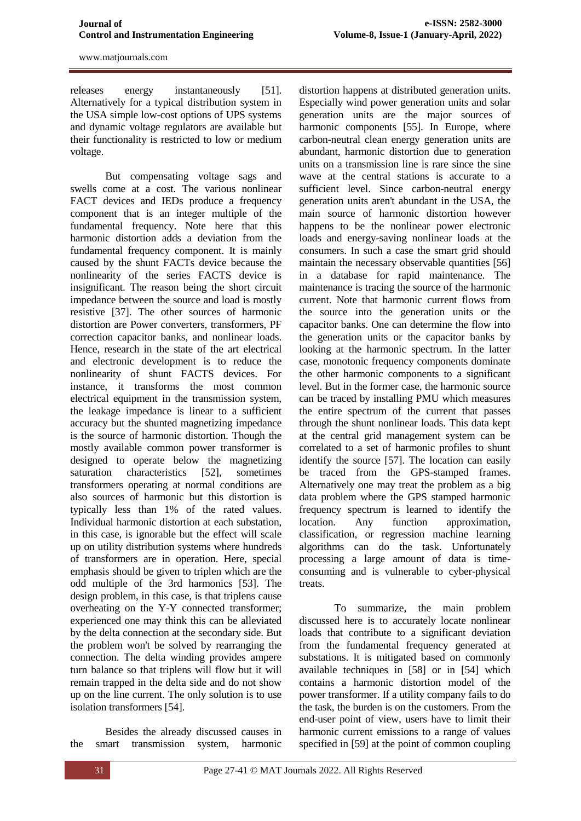releases energy instantaneously [51]. Alternatively for a typical distribution system in the USA simple low-cost options of UPS systems and dynamic voltage regulators are available but their functionality is restricted to low or medium voltage.

But compensating voltage sags and swells come at a cost. The various nonlinear FACT devices and IEDs produce a frequency component that is an integer multiple of the fundamental frequency. Note here that this harmonic distortion adds a deviation from the fundamental frequency component. It is mainly caused by the shunt FACTs device because the nonlinearity of the series FACTS device is insignificant. The reason being the short circuit impedance between the source and load is mostly resistive [37]. The other sources of harmonic distortion are Power converters, transformers, PF correction capacitor banks, and nonlinear loads. Hence, research in the state of the art electrical and electronic development is to reduce the nonlinearity of shunt FACTS devices. For instance, it transforms the most common electrical equipment in the transmission system, the leakage impedance is linear to a sufficient accuracy but the shunted magnetizing impedance is the source of harmonic distortion. Though the mostly available common power transformer is designed to operate below the magnetizing saturation characteristics [52], sometimes transformers operating at normal conditions are also sources of harmonic but this distortion is typically less than 1% of the rated values. Individual harmonic distortion at each substation, in this case, is ignorable but the effect will scale up on utility distribution systems where hundreds of transformers are in operation. Here, special emphasis should be given to triplen which are the odd multiple of the 3rd harmonics [53]. The design problem, in this case, is that triplens cause overheating on the Y-Y connected transformer; experienced one may think this can be alleviated by the delta connection at the secondary side. But the problem won't be solved by rearranging the connection. The delta winding provides ampere turn balance so that triplens will flow but it will remain trapped in the delta side and do not show up on the line current. The only solution is to use isolation transformers [54].

Besides the already discussed causes in the smart transmission system, harmonic

distortion happens at distributed generation units. Especially wind power generation units and solar generation units are the major sources of harmonic components [55]. In Europe, where carbon-neutral clean energy generation units are abundant, harmonic distortion due to generation units on a transmission line is rare since the sine wave at the central stations is accurate to a sufficient level. Since carbon-neutral energy generation units aren't abundant in the USA, the main source of harmonic distortion however happens to be the nonlinear power electronic loads and energy-saving nonlinear loads at the consumers. In such a case the smart grid should maintain the necessary observable quantities [56] in a database for rapid maintenance. The maintenance is tracing the source of the harmonic current. Note that harmonic current flows from the source into the generation units or the capacitor banks. One can determine the flow into the generation units or the capacitor banks by looking at the harmonic spectrum. In the latter case, monotonic frequency components dominate the other harmonic components to a significant level. But in the former case, the harmonic source can be traced by installing PMU which measures the entire spectrum of the current that passes through the shunt nonlinear loads. This data kept at the central grid management system can be correlated to a set of harmonic profiles to shunt identify the source [57]. The location can easily be traced from the GPS-stamped frames. Alternatively one may treat the problem as a big data problem where the GPS stamped harmonic frequency spectrum is learned to identify the location. Any function approximation, classification, or regression machine learning algorithms can do the task. Unfortunately processing a large amount of data is timeconsuming and is vulnerable to cyber-physical treats.

To summarize, the main problem discussed here is to accurately locate nonlinear loads that contribute to a significant deviation from the fundamental frequency generated at substations. It is mitigated based on commonly available techniques in [58] or in [54] which contains a harmonic distortion model of the power transformer. If a utility company fails to do the task, the burden is on the customers. From the end-user point of view, users have to limit their harmonic current emissions to a range of values specified in [59] at the point of common coupling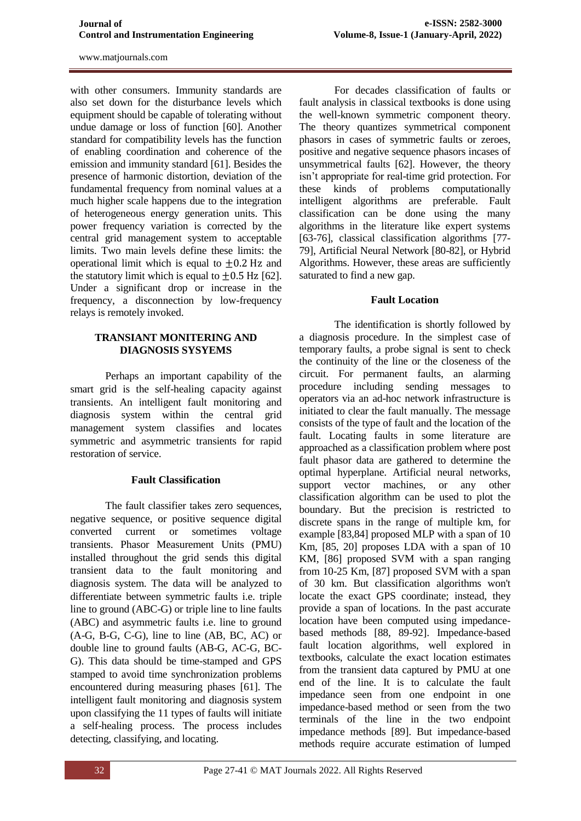with other consumers. Immunity standards are also set down for the disturbance levels which equipment should be capable of tolerating without undue damage or loss of function [60]. Another standard for compatibility levels has the function of enabling coordination and coherence of the emission and immunity standard [61]. Besides the presence of harmonic distortion, deviation of the fundamental frequency from nominal values at a much higher scale happens due to the integration of heterogeneous energy generation units. This power frequency variation is corrected by the central grid management system to acceptable limits. Two main levels define these limits: the operational limit which is equal to  $\pm 0.2$  Hz and the statutory limit which is equal to  $\pm 0.5$  Hz [62]. Under a significant drop or increase in the frequency, a disconnection by low-frequency relays is remotely invoked.

## **TRANSIANT MONITERING AND DIAGNOSIS SYSYEMS**

Perhaps an important capability of the smart grid is the self-healing capacity against transients. An intelligent fault monitoring and diagnosis system within the central grid management system classifies and locates symmetric and asymmetric transients for rapid restoration of service.

## **Fault Classification**

The fault classifier takes zero sequences, negative sequence, or positive sequence digital converted current or sometimes voltage transients. Phasor Measurement Units (PMU) installed throughout the grid sends this digital transient data to the fault monitoring and diagnosis system. The data will be analyzed to differentiate between symmetric faults i.e. triple line to ground (ABC-G) or triple line to line faults (ABC) and asymmetric faults i.e. line to ground (A-G, B-G, C-G), line to line (AB, BC, AC) or double line to ground faults (AB-G, AC-G, BC-G). This data should be time-stamped and GPS stamped to avoid time synchronization problems encountered during measuring phases [61]. The intelligent fault monitoring and diagnosis system upon classifying the 11 types of faults will initiate a self-healing process. The process includes detecting, classifying, and locating.

For decades classification of faults or fault analysis in classical textbooks is done using the well-known symmetric component theory. The theory quantizes symmetrical component phasors in cases of symmetric faults or zeroes, positive and negative sequence phasors incases of unsymmetrical faults [62]. However, the theory isn't appropriate for real-time grid protection. For these kinds of problems computationally intelligent algorithms are preferable. Fault classification can be done using the many algorithms in the literature like expert systems [63-76], classical classification algorithms [77-] 79], Artificial Neural Network [80-82], or Hybrid Algorithms. However, these areas are sufficiently saturated to find a new gap.

# **Fault Location**

The identification is shortly followed by a diagnosis procedure. In the simplest case of temporary faults, a probe signal is sent to check the continuity of the line or the closeness of the circuit. For permanent faults, an alarming procedure including sending messages to operators via an ad-hoc network infrastructure is initiated to clear the fault manually. The message consists of the type of fault and the location of the fault. Locating faults in some literature are approached as a classification problem where post fault phasor data are gathered to determine the optimal hyperplane. Artificial neural networks, support vector machines, or any other classification algorithm can be used to plot the boundary. But the precision is restricted to discrete spans in the range of multiple km, for example [83,84] proposed MLP with a span of 10 Km, [85, 20] proposes LDA with a span of 10 KM, [86] proposed SVM with a span ranging from 10-25 Km, [87] proposed SVM with a span of 30 km. But classification algorithms won't locate the exact GPS coordinate; instead, they provide a span of locations. In the past accurate location have been computed using impedancebased methods [88, 89-92]. Impedance-based fault location algorithms, well explored in textbooks, calculate the exact location estimates from the transient data captured by PMU at one end of the line. It is to calculate the fault impedance seen from one endpoint in one impedance-based method or seen from the two terminals of the line in the two endpoint impedance methods [89]. But impedance-based methods require accurate estimation of lumped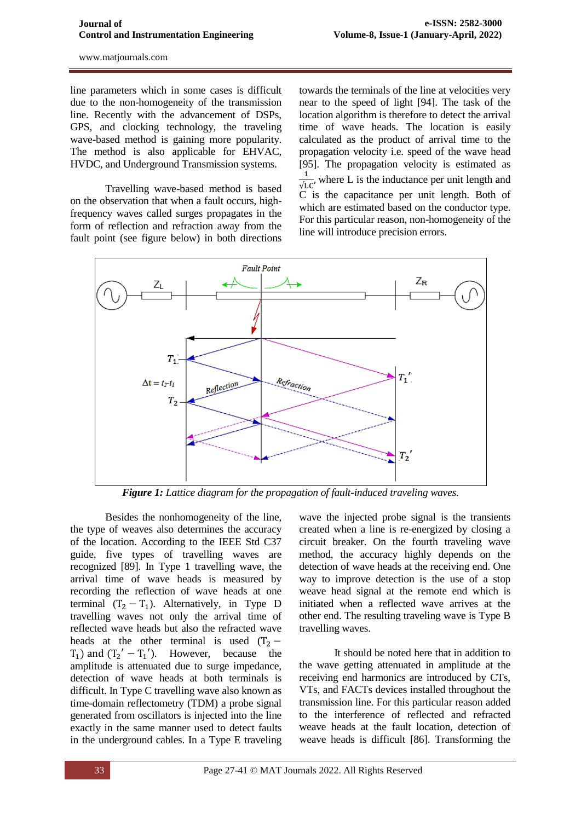line parameters which in some cases is difficult due to the non-homogeneity of the transmission line. Recently with the advancement of DSPs, GPS, and clocking technology, the traveling wave-based method is gaining more popularity. The method is also applicable for EHVAC, HVDC, and Underground Transmission systems.

Travelling wave-based method is based on the observation that when a fault occurs, highfrequency waves called surges propagates in the form of reflection and refraction away from the fault point (see figure below) in both directions

towards the terminals of the line at velocities very near to the speed of light [94]. The task of the location algorithm is therefore to detect the arrival time of wave heads. The location is easily calculated as the product of arrival time to the propagation velocity i.e. speed of the wave head [95]. The propagation velocity is estimated as  $\mathbf{1}$  $\frac{1}{\sqrt{LC}}$ , where L is the inductance per unit length and C is the capacitance per unit length. Both of which are estimated based on the conductor type. For this particular reason, non-homogeneity of the line will introduce precision errors.



*Figure 1: Lattice diagram for the propagation of fault-induced traveling waves.*

Besides the nonhomogeneity of the line, the type of weaves also determines the accuracy of the location. According to the IEEE Std C37 guide, five types of travelling waves are recognized [89]. In Type 1 travelling wave, the arrival time of wave heads is measured by recording the reflection of wave heads at one terminal  $(T_2 - T_1)$ . Alternatively, in Type D travelling waves not only the arrival time of reflected wave heads but also the refracted wave heads at the other terminal is used  $(T_2 T_1$ ) and  $(T_2' - T_1')$ . However, because the amplitude is attenuated due to surge impedance, detection of wave heads at both terminals is difficult. In Type C travelling wave also known as time-domain reflectometry (TDM) a probe signal generated from oscillators is injected into the line exactly in the same manner used to detect faults in the underground cables. In a Type E traveling

wave the injected probe signal is the transients created when a line is re-energized by closing a circuit breaker. On the fourth traveling wave method, the accuracy highly depends on the detection of wave heads at the receiving end. One way to improve detection is the use of a stop weave head signal at the remote end which is initiated when a reflected wave arrives at the other end. The resulting traveling wave is Type B travelling waves.

It should be noted here that in addition to the wave getting attenuated in amplitude at the receiving end harmonics are introduced by CTs, VTs, and FACTs devices installed throughout the transmission line. For this particular reason added to the interference of reflected and refracted weave heads at the fault location, detection of weave heads is difficult [86]. Transforming the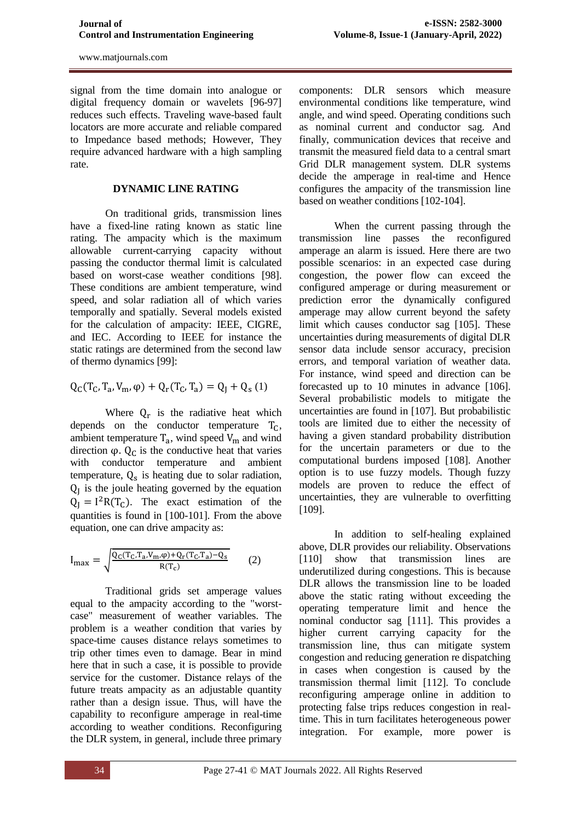signal from the time domain into analogue or digital frequency domain or wavelets [96-97] reduces such effects. Traveling wave-based fault locators are more accurate and reliable compared to Impedance based methods; However, They require advanced hardware with a high sampling rate.

## **DYNAMIC LINE RATING**

On traditional grids, transmission lines have a fixed-line rating known as static line rating. The ampacity which is the maximum allowable current-carrying capacity without passing the conductor thermal limit is calculated based on worst-case weather conditions [98]. These conditions are ambient temperature, wind speed, and solar radiation all of which varies temporally and spatially. Several models existed for the calculation of ampacity: IEEE, CIGRE, and IEC. According to IEEE for instance the static ratings are determined from the second law of thermo dynamics [99]:

$$
Q_{C}(T_{C}, T_{a}, V_{m}, \varphi) + Q_{r}(T_{C}, T_{a}) = Q_{I} + Q_{s}(1)
$$

Where  $Q_r$  is the radiative heat which depends on the conductor temperature  $T_c$ , ambient temperature  $T_a$ , wind speed  $V_m$  and wind direction  $\varphi$ .  $Q_c$  is the conductive heat that varies with conductor temperature and ambient temperature,  $Q_s$  is heating due to solar radiation,  $Q_I$  is the joule heating governed by the equation  $Q_I = I^2 R(T_C)$ . The exact estimation of the quantities is found in [100-101]. From the above equation, one can drive ampacity as:

$$
I_{\text{max}} = \sqrt{\frac{Q_C(T_C, T_a, V_m, \varphi) + Q_r(T_C, T_a) - Q_s}{R(T_c)}}
$$
(2)

Traditional grids set amperage values equal to the ampacity according to the "worstcase" measurement of weather variables. The problem is a weather condition that varies by space-time causes distance relays sometimes to trip other times even to damage. Bear in mind here that in such a case, it is possible to provide service for the customer. Distance relays of the future treats ampacity as an adjustable quantity rather than a design issue. Thus, will have the capability to reconfigure amperage in real-time according to weather conditions. Reconfiguring the DLR system, in general, include three primary

components: DLR sensors which measure environmental conditions like temperature, wind angle, and wind speed. Operating conditions such as nominal current and conductor sag. And finally, communication devices that receive and transmit the measured field data to a central smart Grid DLR management system. DLR systems decide the amperage in real-time and Hence configures the ampacity of the transmission line based on weather conditions [102-104].

When the current passing through the transmission line passes the reconfigured amperage an alarm is issued. Here there are two possible scenarios: in an expected case during congestion, the power flow can exceed the configured amperage or during measurement or prediction error the dynamically configured amperage may allow current beyond the safety limit which causes conductor sag [105]. These uncertainties during measurements of digital DLR sensor data include sensor accuracy, precision errors, and temporal variation of weather data. For instance, wind speed and direction can be forecasted up to 10 minutes in advance [106]. Several probabilistic models to mitigate the uncertainties are found in [107]. But probabilistic tools are limited due to either the necessity of having a given standard probability distribution for the uncertain parameters or due to the computational burdens imposed [108]. Another option is to use fuzzy models. Though fuzzy models are proven to reduce the effect of uncertainties, they are vulnerable to overfitting [109].

In addition to self-healing explained above, DLR provides our reliability. Observations [110] show that transmission lines are underutilized during congestions. This is because DLR allows the transmission line to be loaded above the static rating without exceeding the operating temperature limit and hence the nominal conductor sag [111]. This provides a higher current carrying capacity for the transmission line, thus can mitigate system congestion and reducing generation re dispatching in cases when congestion is caused by the transmission thermal limit [112]. To conclude reconfiguring amperage online in addition to protecting false trips reduces congestion in realtime. This in turn facilitates heterogeneous power integration. For example, more power is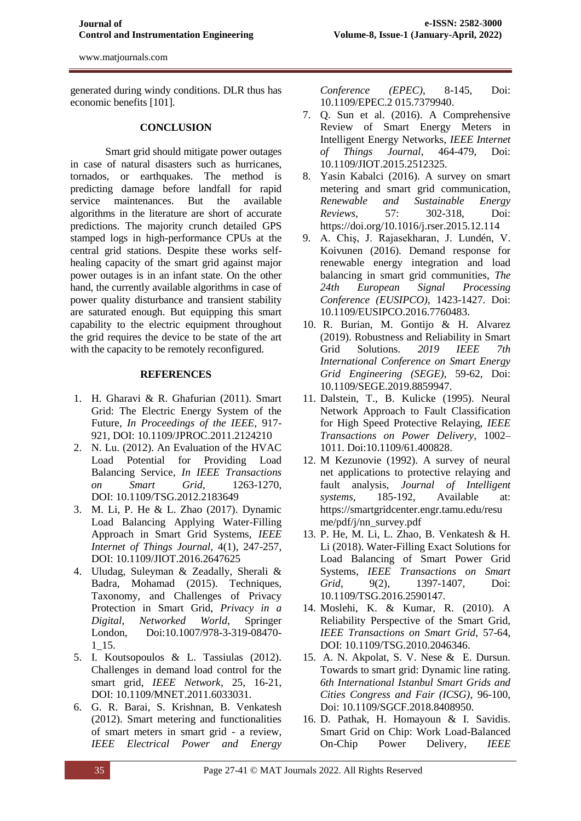generated during windy conditions. DLR thus has economic benefits [101].

## **CONCLUSION**

Smart grid should mitigate power outages in case of natural disasters such as hurricanes, tornados, or earthquakes. The method is predicting damage before landfall for rapid service maintenances. But the available algorithms in the literature are short of accurate predictions. The majority crunch detailed GPS stamped logs in high-performance CPUs at the central grid stations. Despite these works selfhealing capacity of the smart grid against major power outages is in an infant state. On the other hand, the currently available algorithms in case of power quality disturbance and transient stability are saturated enough. But equipping this smart capability to the electric equipment throughout the grid requires the device to be state of the art with the capacity to be remotely reconfigured.

#### **REFERENCES**

- 1. H. Gharavi & R. Ghafurian (2011). Smart Grid: The Electric Energy System of the Future, *In Proceedings of the IEEE,* 917- 921, DOI: [10.1109/JPROC.2011.2124210](https://doi.org/10.1109/JPROC.2011.2124210)
- 2. N. Lu. (2012). An Evaluation of the HVAC Load Potential for Providing Load Balancing Service, *In IEEE Transactions on Smart Grid*, 1263-1270, DOI: [10.1109/TSG.2012.2183649](https://doi.org/10.1109/TSG.2012.2183649)
- 3. M. Li, P. He & L. Zhao (2017). Dynamic Load Balancing Applying Water-Filling Approach in Smart Grid Systems, *IEEE Internet of Things Journal*, 4(1), 247-257, DOI: [10.1109/JIOT.2016.2647625](https://doi.org/10.1109/JIOT.2016.2647625)
- 4. Uludag, Suleyman & Zeadally, Sherali & Badra, Mohamad (2015). Techniques, Taxonomy, and Challenges of Privacy Protection in Smart Grid, *Privacy in a Digital, Networked World,* Springer London, [Doi:10.1007/978-3-319-08470-](doi:10.1007/978-3-319-08470-1_15.) [1\\_15.](doi:10.1007/978-3-319-08470-1_15.)
- 5. I. Koutsopoulos & L. Tassiulas (2012). Challenges in demand load control for the smart grid, *IEEE Network*, 25, 16-21, DOI: [10.1109/MNET.2011.6033031.](doi:%2010.1109/MNET.2011.6033031.)
- 6. G. R. Barai, S. Krishnan, B. Venkatesh (2012). Smart metering and functionalities of smart meters in smart grid - a review, *IEEE Electrical Power and Energy*

*Conference (EPEC)*, 8-145, [Doi:](doi:%2010.1109/EPEC.2%20015.7379940.)  [10.1109/EPEC.2 015.7379940.](doi:%2010.1109/EPEC.2%20015.7379940.)

- 7. Q. Sun et al. (2016). A Comprehensive Review of Smart Energy Meters in Intelligent Energy Networks, *IEEE Internet of Things Journal*, 464-479, [Doi:](doi:%2010.1109/JIOT.2015.2512325.)  [10.1109/JIOT.2015.2512325.](doi:%2010.1109/JIOT.2015.2512325.)
- 8. Yasin Kabalci (2016). A survey on smart metering and smart grid communication, *Renewable and Sustainable Energy Reviews*, 57: 302-318, [Doi:](doi:%20https://doi.org/10.1016/j.rser.2015.12.114)  [https://doi.org/10.1016/j.rser.2015.12.114](doi:%20https://doi.org/10.1016/j.rser.2015.12.114)
- 9. A. Chiş, J. Rajasekharan, J. Lundén, V. Koivunen (2016). Demand response for renewable energy integration and load balancing in smart grid communities, *The 24th European Signal Processing Conference (EUSIPCO)*, 1423-1427. [Doi:](doi:%2010.1109/EUSIPCO.2016.7760483.)  [10.1109/EUSIPCO.2016.7760483.](doi:%2010.1109/EUSIPCO.2016.7760483.)
- 10. R. Burian, M. Gontijo & H. Alvarez (2019). Robustness and Reliability in Smart<br>Grid Solutions.  $2019$  *IEEE* 7th Grid Solutions. *2019 IEEE 7th International Conference on Smart Energy Grid Engineering (SEGE)*, 59-62, [Doi:](doi:%2010.1109/SEGE.2019.8859947.)  [10.1109/SEGE.2019.8859947.](doi:%2010.1109/SEGE.2019.8859947.)
- 11. Dalstein, T., B. Kulicke (1995). Neural Network Approach to Fault Classification for High Speed Protective Relaying, *IEEE Transactions on Power Delivery*, 1002– 1011. [Doi:10.1109/61.400828.](doi:10.1109/61.400828.)
- 12. M Kezunovie (1992). A survey of neural net applications to protective relaying and fault analysis, *Journal of Intelligent systems*, 185-192, Available at: [https://smartgridcenter.engr.tamu.edu/resu](https://smartgridcenter.engr.tamu.edu/resume/pdf/j/nn_survey.pdf) [me/pdf/j/nn\\_survey.pdf](https://smartgridcenter.engr.tamu.edu/resume/pdf/j/nn_survey.pdf)
- 13. P. He, M. Li, L. Zhao, B. Venkatesh & H. Li (2018). Water-Filling Exact Solutions for Load Balancing of Smart Power Grid Systems, *IEEE Transactions on Smart Grid*, 9(2), 1397-1407, [Doi:](doi:%2010.1109/TSG.2016.2590147.)  [10.1109/TSG.2016.2590147.](doi:%2010.1109/TSG.2016.2590147.)
- 14. Moslehi, K. & Kumar, R. (2010). A Reliability Perspective of the Smart Grid, *IEEE Transactions on Smart Grid*, 57-64, DOI: [10.1109/TSG.2010.2046346.](https://doi.org/10.1109/TSG.2010.2046346)
- 15. A. N. Akpolat, S. V. Nese & E. Dursun. Towards to smart grid: Dynamic line rating. *6th International Istanbul Smart Grids and Cities Congress and Fair (ICSG)*, 96-100, [Doi: 10.1109/SGCF.2018.8408950.](doi:%2010.1109/SGCF.2018.8408950.)
- 16. D. Pathak, H. Homayoun & I. Savidis. Smart Grid on Chip: Work Load-Balanced On-Chip Power Delivery, *IEEE*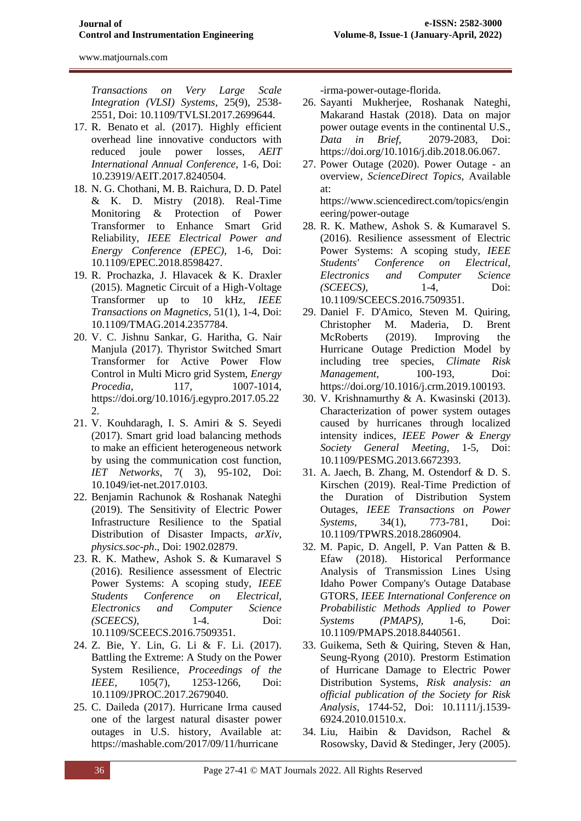*Transactions on Very Large Scale Integration (VLSI) Systems*, 25(9), 2538- 2551, [Doi: 10.1109/TVLSI.2017.2699644.](doi:%2010.1109/TVLSI.2017.2699644.)

- 17. R. Benato et al. (2017). Highly efficient overhead line innovative conductors with reduced joule power losses, *AEIT International Annual Conference,* 1-6, [Doi:](doi:%2010.23919/AEIT.2017.8240504.)  [10.23919/AEIT.2017.8240504.](doi:%2010.23919/AEIT.2017.8240504.)
- 18. N. G. Chothani, M. B. Raichura, D. D. Patel & K. D. Mistry (2018). Real-Time Monitoring & Protection of Power Transformer to Enhance Smart Grid Reliability, *IEEE Electrical Power and Energy Conference (EPEC),* 1-6, [Doi:](doi:%2010.1109/EPEC.2018.8598427.)  [10.1109/EPEC.2018.8598427.](doi:%2010.1109/EPEC.2018.8598427.)
- 19. R. Prochazka, J. Hlavacek & K. Draxler (2015). Magnetic Circuit of a High-Voltage Transformer up to 10 kHz, *IEEE Transactions on Magnetics*, 51(1), 1-4, [Doi:](doi:%2010.1109/TMAG.2014.2357784.)  [10.1109/TMAG.2014.2357784.](doi:%2010.1109/TMAG.2014.2357784.)
- 20. V. C. Jishnu Sankar, G. Haritha, G. Nair Manjula (2017). Thyristor Switched Smart Transformer for Active Power Flow Control in Multi Micro grid System, *Energy Procedia*, 117, 1007-1014, [https://doi.org/10.1016/j.egypro.2017.05.22](https://doi.org/10.1016/j.egypro.2017.05.222) [2.](https://doi.org/10.1016/j.egypro.2017.05.222)
- 21. V. Kouhdaragh, I. S. Amiri & S. Seyedi (2017). Smart grid load balancing methods to make an efficient heterogeneous network by using the communication cost function, *IET Networks*, 7( 3), 95-102, [Doi:](doi:%2010.1049/iet-net.2017.0103.)  [10.1049/iet-net.2017.0103.](doi:%2010.1049/iet-net.2017.0103.)
- 22. Benjamin Rachunok & Roshanak Nateghi (2019). The Sensitivity of Electric Power Infrastructure Resilience to the Spatial Distribution of Disaster Impacts*, arXiv, physics.soc-ph*., [Doi: 1902.02879.](Doi:%201902.02879.)
- 23. R. K. Mathew, Ashok S. & Kumaravel S (2016). Resilience assessment of Electric Power Systems: A scoping study, *IEEE Students Conference on Electrical, Electronics and Computer Science (SCEECS),* 1-4. [Doi:](doi:%2010.1109/SCEECS.2016.7509351.)  [10.1109/SCEECS.2016.7509351.](doi:%2010.1109/SCEECS.2016.7509351.)
- 24. Z. Bie, Y. Lin, G. Li & F. Li. (2017). Battling the Extreme: A Study on the Power System Resilience, *Proceedings of the IEEE*, 105(7), 1253-1266, Doi: [10.1109/JPROC.2017.2679040.](doi:%2010.1109/JPROC.2017.2679040.)
- 25. C. Daileda (2017). Hurricane Irma caused one of the largest natural disaster power outages in U.S. history, Available at: [https://mashable.com/2017/09/11/hurricane](https://mashable.com/2017/09/11/hurricane-irma-power-outage-florida)

[-irma-power-outage-florida.](https://mashable.com/2017/09/11/hurricane-irma-power-outage-florida)

- 26. Sayanti Mukherjee, Roshanak Nateghi, Makarand Hastak (2018). Data on major power outage events in the continental U.S., *Data in Brief,* 2079-2083, [Doi:](doi:%20https://doi.org/10.1016/j.dib.2018.06.067.)  [https://doi.org/10.1016/j.dib.2018.06.067.](doi:%20https://doi.org/10.1016/j.dib.2018.06.067.)
- 27. Power Outage (2020). Power Outage an overview, *ScienceDirect Topics,* Available at: [https://www.sciencedirect.com/topics/engin](https://www.sciencedirect.com/topics/engineering/power-outage)
- [eering/power-outage](https://www.sciencedirect.com/topics/engineering/power-outage) 28. R. K. Mathew, Ashok S. & Kumaravel S. (2016). Resilience assessment of Electric Power Systems: A scoping study, *IEEE Students' Conference on Electrical, Electronics and Computer Science (SCEECS),* 1-4, [Doi:](doi:%2010.1109/SCEECS.2016.7509351.)  [10.1109/SCEECS.2016.7509351.](doi:%2010.1109/SCEECS.2016.7509351.)
- 29. Daniel F. D'Amico, Steven M. Quiring, Christopher M. Maderia, D. Brent McRoberts (2019). Improving the Hurricane Outage Prediction Model by including tree species, *Climate Risk Management*, 100-193, [Doi:](doi:%20https://doi.org/10.1016/j.crm.2019.100193.)  [https://doi.org/10.1016/j.crm.2019.100193.](doi:%20https://doi.org/10.1016/j.crm.2019.100193.)
- 30. V. Krishnamurthy & A. Kwasinski (2013). Characterization of power system outages caused by hurricanes through localized intensity indices, *IEEE Power & Energy Society General Meeting*, 1-5, [Doi:](doi:%2010.1109/PESMG.2013.6672393.)  [10.1109/PESMG.2013.6672393.](doi:%2010.1109/PESMG.2013.6672393.)
- 31. A. Jaech, B. Zhang, M. Ostendorf & D. S. Kirschen (2019). Real-Time Prediction of the Duration of Distribution System Outages, *IEEE Transactions on Power Systems*, 34(1), 773-781, [Doi:](doi:%2010.1109/TPWRS.2018.2860904.)  [10.1109/TPWRS.2018.2860904.](doi:%2010.1109/TPWRS.2018.2860904.)
- 32. M. Papic, D. Angell, P. Van Patten & B. Efaw (2018). Historical Performance Analysis of Transmission Lines Using Idaho Power Company's Outage Database GTORS, *IEEE International Conference on Probabilistic Methods Applied to Power Systems (PMAPS),* 1-6, [Doi:](doi:%2010.1109/PMAPS.2018.8440561.)  [10.1109/PMAPS.2018.8440561.](doi:%2010.1109/PMAPS.2018.8440561.)
- 33. Guikema, Seth & Quiring, Steven & Han, Seung-Ryong (2010). Prestorm Estimation of Hurricane Damage to Electric Power Distribution Systems, *Risk analysis: an official publication of the Society for Risk Analysis*, 1744-52, [Doi: 10.1111/j.1539-](doi:%2010.1111/j.1539-6924.2010.01510.x.) [6924.2010.01510.x.](doi:%2010.1111/j.1539-6924.2010.01510.x.)
- 34. Liu, Haibin & Davidson, Rachel & Rosowsky, David & Stedinger, Jery (2005).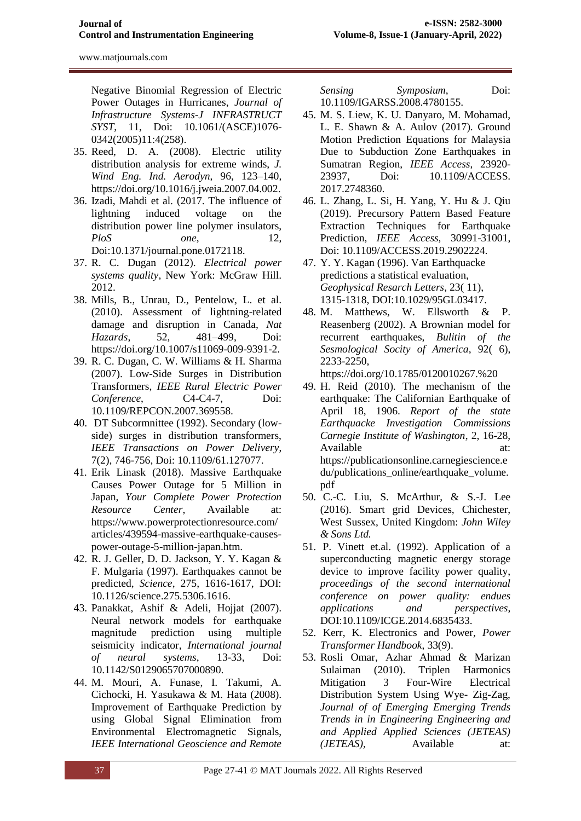Negative Binomial Regression of Electric Power Outages in Hurricanes, *Journal of Infrastructure Systems-J INFRASTRUCT SYST*, 11, [Doi: 10.1061/\(ASCE\)1076-](doi:%2010.1061/(ASCE)1076-0342(2005)11:4(258).) [0342\(2005\)11:4\(258\).](doi:%2010.1061/(ASCE)1076-0342(2005)11:4(258).)

- 35. Reed, D. A. (2008). Electric utility distribution analysis for extreme winds, *J. Wind Eng. Ind. Aerodyn*, 96, 123–140, [https://doi.org/10.1016/j.jweia.2007.04.002.](https://doi.org/10.1016/j.jweia.2007.04.002)
- 36. Izadi, Mahdi et al. (2017. The influence of lightning induced voltage on the distribution power line polymer insulators, *PloS one*, 12, [Doi:10.1371/journal.pone.0172118.](doi:10.1371/journal.pone.0172118.)
- 37. R. C. Dugan (2012). *Electrical power systems quality*, New York: McGraw Hill. 2012.
- 38. Mills, B., Unrau, D., Pentelow, L. et al. (2010). Assessment of lightning-related damage and disruption in Canada, *Nat Hazards*, 52, 481–499, [Doi:](doi:%20https://doi.org/10.1007/s11069-009-9391-2.)  [https://doi.org/10.1007/s11069-009-9391-2.](doi:%20https://doi.org/10.1007/s11069-009-9391-2.)
- 39. R. C. Dugan, C. W. Williams & H. Sharma (2007). Low-Side Surges in Distribution Transformers, *IEEE Rural Electric Power Conference*, C4-C4-7, [Doi:](doi:%2010.1109/REPCON.2007.369558.)  [10.1109/REPCON.2007.369558.](doi:%2010.1109/REPCON.2007.369558.)
- 40. DT Subcormnittee (1992). Secondary (lowside) surges in distribution transformers, *IEEE Transactions on Power Delivery*, 7(2), 746-756, [Doi: 10.1109/61.127077.](doi:%2010.1109/61.127077.)
- 41. Erik Linask (2018). Massive Earthquake Causes Power Outage for 5 Million in Japan, *Your Complete Power Protection Resource Center*, Available at: [https://www.powerprotectionresource.com/](https://www.powerprotectionresource.com/articles/439594-massive-earthquake-causes-power-outage-5-million-japan.htm.) [articles/439594-massive-earthquake-causes](https://www.powerprotectionresource.com/articles/439594-massive-earthquake-causes-power-outage-5-million-japan.htm.)[power-outage-5-million-japan.htm.](https://www.powerprotectionresource.com/articles/439594-massive-earthquake-causes-power-outage-5-million-japan.htm.)
- 42. R. J. Geller, D. D. Jackson, Y. Y. Kagan & F. Mulgaria (1997). Earthquakes cannot be predicted, *Science*, 275, 1616-1617, [DOI:](doi:%2010.1126/science.275.5306.1616)  [10.1126/science.275.5306.1616.](doi:%2010.1126/science.275.5306.1616)
- 43. Panakkat, Ashif & Adeli, Hojjat (2007). Neural network models for earthquake magnitude prediction using multiple seismicity indicator, *International journal of neural systems*, 13-33, [Doi:](doi:%2010.1142/S0129065707000890.)  [10.1142/S0129065707000890.](doi:%2010.1142/S0129065707000890.)
- 44. M. Mouri, A. Funase, I. Takumi, A. Cichocki, H. Yasukawa & M. Hata (2008). Improvement of Earthquake Prediction by using Global Signal Elimination from Environmental Electromagnetic Signals, *IEEE International Geoscience and Remote*

*Sensing Symposium*, [Doi:](doi:%2010.1109/IGARSS.2008.4780155.)  [10.1109/IGARSS.2008.4780155.](doi:%2010.1109/IGARSS.2008.4780155.)

- 45. M. S. Liew, K. U. Danyaro, M. Mohamad, L. E. Shawn & A. Aulov (2017). Ground Motion Prediction Equations for Malaysia Due to Subduction Zone Earthquakes in Sumatran Region, *IEEE Access*, 23920- 23937, [Doi: 10.1109/ACCESS.](doi:%2010.1109/ACCESS.%202017.2748360.)  [2017.2748360.](doi:%2010.1109/ACCESS.%202017.2748360.)
- 46. L. Zhang, L. Si, H. Yang, Y. Hu & J. Qiu (2019). Precursory Pattern Based Feature Extraction Techniques for Earthquake Prediction, *IEEE Access,* 30991-31001, [Doi: 10.1109/ACCESS.2019.2902224.](doi:%2010.1109/ACCESS.2019.2902224.)
- 47. Y. Y. Kagan (1996). Van Earthquacke predictions a statistical evaluation, *Geophysical Resarch Letters*, 23( 11), 1315-1318, [DOI:10.1029/95GL03417.](doi:10.1029/95GL03417)
- 48. M. Matthews, W. Ellsworth & P. Reasenberg (2002). A Brownian model for recurrent earthquakes, *Bulitin of the Sesmological Socity of America*, 92( 6), 2233-2250,

[https://doi.org/10.1785/0120010267.%20](https://doi.org/10.1785/0120010267.)

- 49. H. Reid (2010). The mechanism of the earthquake: The Californian Earthquake of April 18, 1906. *Report of the state Earthquacke Investigation Commissions Carnegie Institute of Washington*, 2, 16-28, Available at: [https://publicationsonline.carnegiescience.e](https://publicationsonline.carnegiescience.edu/publications_online/earthquake_volume.pdf) [du/publications\\_online/earthquake\\_volume.](https://publicationsonline.carnegiescience.edu/publications_online/earthquake_volume.pdf) [pdf](https://publicationsonline.carnegiescience.edu/publications_online/earthquake_volume.pdf)
- 50. C.-C. Liu, S. McArthur, & S.-J. Lee (2016). Smart grid Devices, Chichester, West Sussex, United Kingdom: *John Wiley & Sons Ltd.*
- 51. P. Vinett et.al. (1992). Application of a superconducting magnetic energy storage device to improve facility power quality, *proceedings of the second international conference on power quality: endues applications and perspectives*, DOI[:10.1109/ICGE.2014.6835433.](http://dx.doi.org/10.1109/ICGE.2014.6835433)
- 52. Kerr, K. Electronics and Power, *Power Transformer Handbook*, 33(9).
- 53. Rosli Omar, Azhar Ahmad & Marizan Sulaiman (2010). Triplen Harmonics Mitigation 3 Four-Wire Electrical Distribution System Using Wye- Zig-Zag, *Journal of of Emerging Emerging Trends Trends in in Engineering Engineering and and Applied Applied Sciences (JETEAS) (JETEAS),* Available at: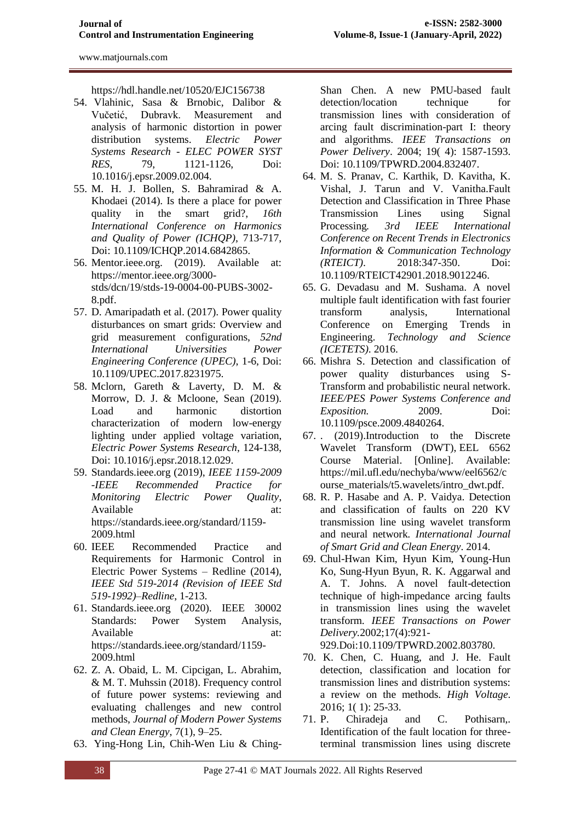<https://hdl.handle.net/10520/EJC156738>

- 54. Vlahinic, Sasa & Brnobic, Dalibor & Vučetić, Dubravk. Measurement and analysis of harmonic distortion in power distribution systems. *Electric Power Systems Research - ELEC POWER SYST RES*, 79, 1121-1126, [Doi:](doi:%2010.1016/j.epsr.2009.02.004)  [10.1016/j.epsr.2009.02.004.](doi:%2010.1016/j.epsr.2009.02.004)
- 55. M. H. J. Bollen, S. Bahramirad & A. Khodaei (2014). Is there a place for power quality in the smart grid?, *16th International Conference on Harmonics and Quality of Power (ICHQP)*, 713-717, [Doi: 10.1109/ICHQP.2014.6842865.](doi:%2010.1109/ICHQP.2014.6842865.)
- 56. Mentor.ieee.org. (2019). Available at: [https://mentor.ieee.org/3000](https://mentor.ieee.org/3000-stds/dcn/19/stds-19-0004-00-PUBS-3002-8.pdf) [stds/dcn/19/stds-19-0004-00-PUBS-3002-](https://mentor.ieee.org/3000-stds/dcn/19/stds-19-0004-00-PUBS-3002-8.pdf) [8.pdf.](https://mentor.ieee.org/3000-stds/dcn/19/stds-19-0004-00-PUBS-3002-8.pdf)
- 57. D. Amaripadath et al. (2017). Power quality disturbances on smart grids: Overview and grid measurement configurations, *52nd International Universities Power Engineering Conference (UPEC)*, 1-6, [Doi:](doi:%2010.1109/UPEC.2017.8231975.)  [10.1109/UPEC.2017.8231975.](doi:%2010.1109/UPEC.2017.8231975.)
- 58. Mclorn, Gareth & Laverty, D. M. & Morrow, D. J. & Mcloone, Sean (2019). Load and harmonic distortion characterization of modern low-energy lighting under applied voltage variation, *Electric Power Systems Research*, 124-138, [Doi: 10.1016/j.epsr.2018.12.029.](doi:%2010.1016/j.epsr.2018.12.029.)
- 59. Standards.ieee.org (2019), *IEEE 1159-2009 -IEEE Recommended Practice for Monitoring Electric Power Quality*, Available at: [https://standards.ieee.org/standard/1159-](https://standards.ieee.org/standard/1159-2009.html) [2009.html](https://standards.ieee.org/standard/1159-2009.html)
- 60. IEEE Recommended Practice and Requirements for Harmonic Control in Electric Power Systems – Redline (2014), *IEEE Std 519-2014 (Revision of IEEE Std 519-1992)–Redline*, 1-213.
- 61. Standards.ieee.org (2020). IEEE 30002 Standards: Power System Analysis, Available at: [https://standards.ieee.org/standard/1159-](https://standards.ieee.org/standard/1159-2009.html) [2009.html](https://standards.ieee.org/standard/1159-2009.html)
- 62. Z. A. Obaid, L. M. Cipcigan, L. Abrahim, & M. T. Muhssin (2018). Frequency control of future power systems: reviewing and evaluating challenges and new control methods, *Journal of Modern Power Systems and Clean Energy*, 7(1), 9–25.
- 63. Ying-Hong Lin, Chih-Wen Liu & Ching-

Shan Chen. A new PMU-based fault detection/location technique for transmission lines with consideration of arcing fault discrimination-part I: theory and algorithms. *IEEE Transactions on Power Delivery*. 2004; 19( 4): 1587-1593. Doi: 10.1109/TPWRD.2004.832407.

- 64. M. S. Pranav, C. Karthik, D. Kavitha, K. Vishal, J. Tarun and V. Vanitha.Fault Detection and Classification in Three Phase Transmission Lines using Signal Processing*. 3rd IEEE International Conference on Recent Trends in Electronics Information & Communication Technology (RTEICT)*. 2018:347-350. Doi: 10.1109/RTEICT42901.2018.9012246.
- 65. G. Devadasu and M. Sushama. A novel multiple fault identification with fast fourier transform analysis, International Conference on Emerging Trends in Engineering. *Technology and Science (ICETETS)*. 2016.
- 66. Mishra S. Detection and classification of power quality disturbances using S-Transform and probabilistic neural network. *IEEE/PES Power Systems Conference and Exposition.* 2009. Doi: 10.1109/psce.2009.4840264.
- 67. . (2019).Introduction to the Discrete Wavelet Transform (DWT), EEL 6562 Course Material. [Online]. Available: https://mil.ufl.edu/nechyba/www/eel6562/c ourse\_materials/t5.wavelets/intro\_dwt.pdf.
- 68. R. P. Hasabe and A. P. Vaidya. Detection and classification of faults on 220 KV transmission line using wavelet transform and neural network*. International Journal of Smart Grid and Clean Energy*. 2014.
- 69. Chul-Hwan Kim, Hyun Kim, Young-Hun Ko, Sung-Hyun Byun, R. K. Aggarwal and A. T. Johns. A novel fault-detection technique of high-impedance arcing faults in transmission lines using the wavelet transform. *IEEE Transactions on Power Delivery.*2002;17(4):921-

929.Doi:10.1109/TPWRD.2002.803780.

- 70. K. Chen, C. Huang, and J. He. Fault detection, classification and location for transmission lines and distribution systems: a review on the methods. *High Voltage*. 2016; 1( 1): 25-33.
- 71. P. Chiradeja and C. Pothisarn,. Identification of the fault location for threeterminal transmission lines using discrete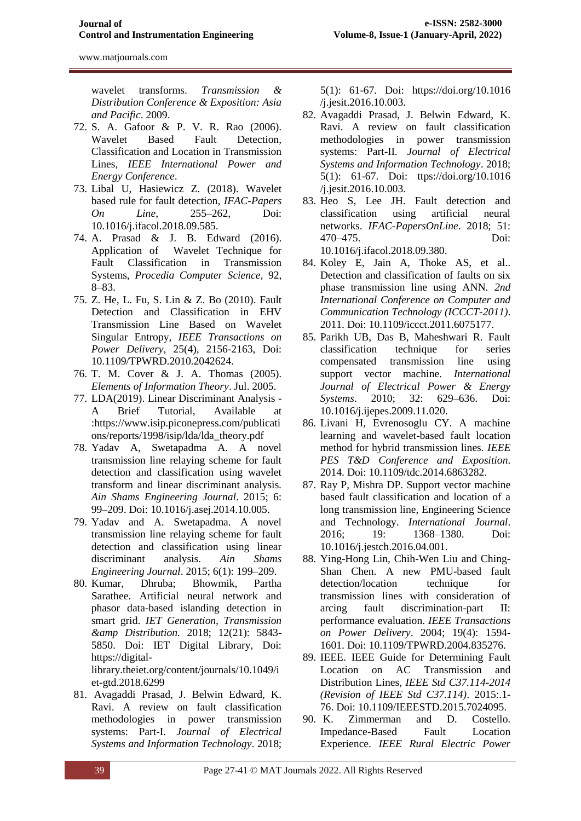wavelet transforms. *Transmission & Distribution Conference & Exposition: Asia and Pacific*. 2009.

- 72. S. A. Gafoor & P. V. R. Rao (2006). Wavelet Based Fault Detection, Classification and Location in Transmission Lines, *IEEE International Power and Energy Conference*.
- 73. Libal U, Hasiewicz Z. (2018). Wavelet based rule for fault detection, *IFAC-Papers On Line*, 255–262, [Doi:](doi:%2010.1016/j.ifacol.2018.09.585.)  [10.1016/j.ifacol.2018.09.585.](doi:%2010.1016/j.ifacol.2018.09.585.)
- 74. A. Prasad & J. B. Edward (2016). Application of Wavelet Technique for Fault Classification in Transmission Systems, *Procedia Computer Science,* 92, 8–83.
- 75. Z. He, L. Fu, S. Lin & Z. Bo (2010). Fault Detection and Classification in EHV Transmission Line Based on Wavelet Singular Entropy, *IEEE Transactions on Power Delivery*, 25(4), 2156-2163, [Doi:](doi:%2010.1109/TPWRD.2010.2042624.)  [10.1109/TPWRD.2010.2042624.](doi:%2010.1109/TPWRD.2010.2042624.)
- 76. T. M. Cover & J. A. Thomas (2005). *Elements of Information Theory*. Jul. 2005.
- 77. LDA(2019). Linear Discriminant Analysis A Brief Tutorial, Available at [:https://www.isip.piconepress.com/publicati](https://www.isip.piconepress.com/publications/reports/1998/isip/lda/lda_theory.pdf) [ons/reports/1998/isip/lda/lda\\_theory.pdf](https://www.isip.piconepress.com/publications/reports/1998/isip/lda/lda_theory.pdf)
- 78. Yadav A, Swetapadma A. A novel transmission line relaying scheme for fault detection and classification using wavelet transform and linear discriminant analysis. *Ain Shams Engineering Journal*. 2015; 6: 99–209. Doi: 10.1016/j.asej.2014.10.005.
- 79. Yadav and A. Swetapadma. A novel transmission line relaying scheme for fault detection and classification using linear discriminant analysis. *Ain Shams Engineering Journal*. 2015; 6(1): 199–209.
- 80. Kumar, Dhruba; Bhowmik, Partha Sarathee. Artificial neural network and phasor data-based islanding detection in smart grid. *IET Generation, Transmission &amp Distribution.* 2018; 12(21): 5843- 5850. Doi: IET Digital Library, Doi: [https://digital-](https://digital-library.theiet.org/content/journals/10.1049/iet-gtd.2018.6299)

[library.theiet.org/content/journals/10.1049/i](https://digital-library.theiet.org/content/journals/10.1049/iet-gtd.2018.6299) [et-gtd.2018.6299](https://digital-library.theiet.org/content/journals/10.1049/iet-gtd.2018.6299)

81. Avagaddi Prasad, J. Belwin Edward, K. Ravi. A review on fault classification methodologies in power transmission systems: Part-I. *Journal of Electrical Systems and Information Technology*. 2018;

5(1): 61-67. Doi: [https://doi.org/10.1016](https://doi.org/10.1016%20/j.jesit.2016.10.003)  [/j.jesit.2016.10.003.](https://doi.org/10.1016%20/j.jesit.2016.10.003)

- 82. Avagaddi Prasad, J. Belwin Edward, K. Ravi. A review on fault classification methodologies in power transmission systems: Part-II. *Journal of Electrical Systems and Information Technology*. 2018; 5(1): 61-67. Doi: ttps://doi.org/10.1016 /j.jesit.2016.10.003.
- 83. Heo S, Lee JH. Fault detection and classification using artificial neural networks. *IFAC-PapersOnLine*. 2018; 51: 470–475. Doi: 10.1016/j.ifacol.2018.09.380.
- 84. Koley E, Jain A, Thoke AS, et al.. Detection and classification of faults on six phase transmission line using ANN. *2nd International Conference on Computer and Communication Technology (ICCCT-2011)*. 2011. Doi: 10.1109/iccct.2011.6075177.
- 85. Parikh UB, Das B, Maheshwari R. Fault classification technique for series compensated transmission line using support vector machine. *International Journal of Electrical Power & Energy Systems*. 2010; 32: 629–636. Doi: 10.1016/j.ijepes.2009.11.020.
- 86. Livani H, Evrenosoglu CY. A machine learning and wavelet-based fault location method for hybrid transmission lines. *IEEE PES T&D Conference and Exposition*. 2014. Doi: 10.1109/tdc.2014.6863282.
- 87. Ray P, Mishra DP. Support vector machine based fault classification and location of a long transmission line, Engineering Science and Technology. *International Journal*. 2016; 19: 1368–1380. Doi: 10.1016/j.jestch.2016.04.001.
- 88. Ying-Hong Lin, Chih-Wen Liu and Ching-Shan Chen. A new PMU-based fault detection/location technique for transmission lines with consideration of arcing fault discrimination-part II: performance evaluation. *IEEE Transactions on Power Delivery*. 2004; 19(4): 1594- 1601. Doi: 10.1109/TPWRD.2004.835276.
- 89. IEEE. IEEE Guide for Determining Fault Location on AC Transmission and Distribution Lines, *IEEE Std C37.114-2014 (Revision of IEEE Std C37.114)*. 2015:.1- 76. Doi: 10.1109/IEEESTD.2015.7024095.
- 90. K. Zimmerman and D. Costello. Impedance-Based Fault Location Experience. *IEEE Rural Electric Power*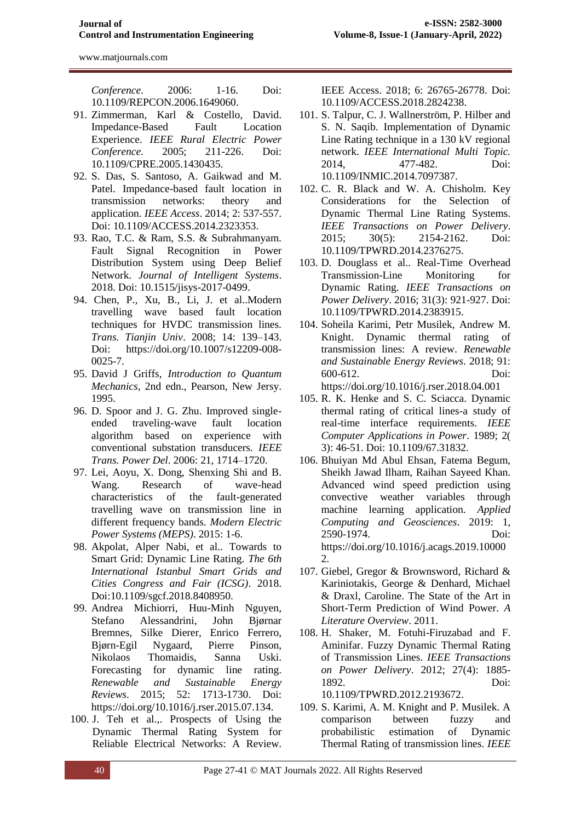*Conference*. 2006: 1-16. Doi: 10.1109/REPCON.2006.1649060.

- 91. Zimmerman, Karl & Costello, David. Impedance-Based Fault Location Experience. *IEEE Rural Electric Power Conference*. 2005; 211-226. Doi: 10.1109/CPRE.2005.1430435.
- 92. S. Das, S. Santoso, A. Gaikwad and M. Patel. Impedance-based fault location in transmission networks: theory and application. *IEEE Access*. 2014; 2: 537-557. Doi: 10.1109/ACCESS.2014.2323353.
- 93. Rao, T.C. & Ram, S.S. & Subrahmanyam. Fault Signal Recognition in Power Distribution System using Deep Belief Network. *Journal of Intelligent Systems*. 2018. Doi: 10.1515/jisys-2017-0499.
- 94. Chen, P., Xu, B., Li, J. et al..Modern travelling wave based fault location techniques for HVDC transmission lines. *Trans. Tianjin Univ*. 2008; 14: 139–143. Doi: https://doi.org/10.1007/s12209-008- 0025-7.
- 95. David J Griffs, *Introduction to Quantum Mechanics*, 2nd edn., Pearson, New Jersy. 1995.
- 96. D. Spoor and J. G. Zhu. Improved singleended traveling-wave fault location algorithm based on experience with conventional substation transducers. *IEEE Trans. Power Del*. 2006: 21, 1714–1720.
- 97. Lei, Aoyu, X. Dong, Shenxing Shi and B. Wang. Research of wave-head characteristics of the fault-generated travelling wave on transmission line in different frequency bands. *Modern Electric Power Systems (MEPS)*. 2015: 1-6.
- 98. Akpolat, Alper Nabi, et al.. Towards to Smart Grid: Dynamic Line Rating. *The 6th International Istanbul Smart Grids and Cities Congress and Fair (ICSG)*. 2018. Doi:10.1109/sgcf.2018.8408950.
- 99. Andrea Michiorri, Huu-Minh Nguyen, Stefano Alessandrini, John Bjørnar Bremnes, Silke Dierer, Enrico Ferrero, Bjørn-Egil Nygaard, Pierre Pinson, Nikolaos Thomaidis, Sanna Uski. Forecasting for dynamic line rating. *Renewable and Sustainable Energy Reviews*. 2015; 52: 1713-1730. Doi: https://doi.org/10.1016/j.rser.2015.07.134.
- 100. J. Teh et al.,. Prospects of Using the Dynamic Thermal Rating System for Reliable Electrical Networks: A Review.

IEEE Access. 2018; 6: 26765-26778. Doi: 10.1109/ACCESS.2018.2824238.

- 101. S. Talpur, C. J. Wallnerström, P. Hilber and S. N. Saqib. Implementation of Dynamic Line Rating technique in a 130 kV regional network. *IEEE International Multi Topic.* 2014, 477-482. Doi: 10.1109/INMIC.2014.7097387.
- 102. C. R. Black and W. A. Chisholm. Key Considerations for the Selection of Dynamic Thermal Line Rating Systems. *IEEE Transactions on Power Delivery*. 2015; 30(5): 2154-2162. Doi: 10.1109/TPWRD.2014.2376275.
- 103. D. Douglass et al.. Real-Time Overhead Transmission-Line Monitoring for Dynamic Rating. *IEEE Transactions on Power Delivery*. 2016; 31(3): 921-927. Doi: 10.1109/TPWRD.2014.2383915.
- 104. Soheila Karimi, Petr Musilek, Andrew M. Knight. Dynamic thermal rating of transmission lines: A review. *Renewable and Sustainable Energy Reviews*. 2018; 91: 600-612. Doi: <https://doi.org/10.1016/j.rser.2018.04.001>
- 105. R. K. Henke and S. C. Sciacca. Dynamic thermal rating of critical lines-a study of real-time interface requirements. *IEEE Computer Applications in Power*. 1989; 2( 3): 46-51. Doi: 10.1109/67.31832.
- 106. Bhuiyan Md Abul Ehsan, Fatema Begum, Sheikh Jawad Ilham, Raihan Sayeed Khan. Advanced wind speed prediction using convective weather variables through machine learning application. *Applied Computing and Geosciences*. 2019: 1, 2590-1974. Doi: [https://doi.org/10.1016/j.acags.2019.10000](https://doi.org/10.1016/j.acags.2019.100002)  $\mathcal{L}$
- 107. Giebel, Gregor & Brownsword, Richard & Kariniotakis, George & Denhard, Michael & Draxl, Caroline. The State of the Art in Short-Term Prediction of Wind Power. *A Literature Overview*. 2011.
- 108. H. Shaker, M. Fotuhi-Firuzabad and F. Aminifar. Fuzzy Dynamic Thermal Rating of Transmission Lines. *IEEE Transactions on Power Delivery*. 2012; 27(4): 1885- 1892. Doi: 10.1109/TPWRD.2012.2193672.
- 109. S. Karimi, A. M. Knight and P. Musilek. A comparison between fuzzy and probabilistic estimation of Dynamic Thermal Rating of transmission lines. *IEEE*